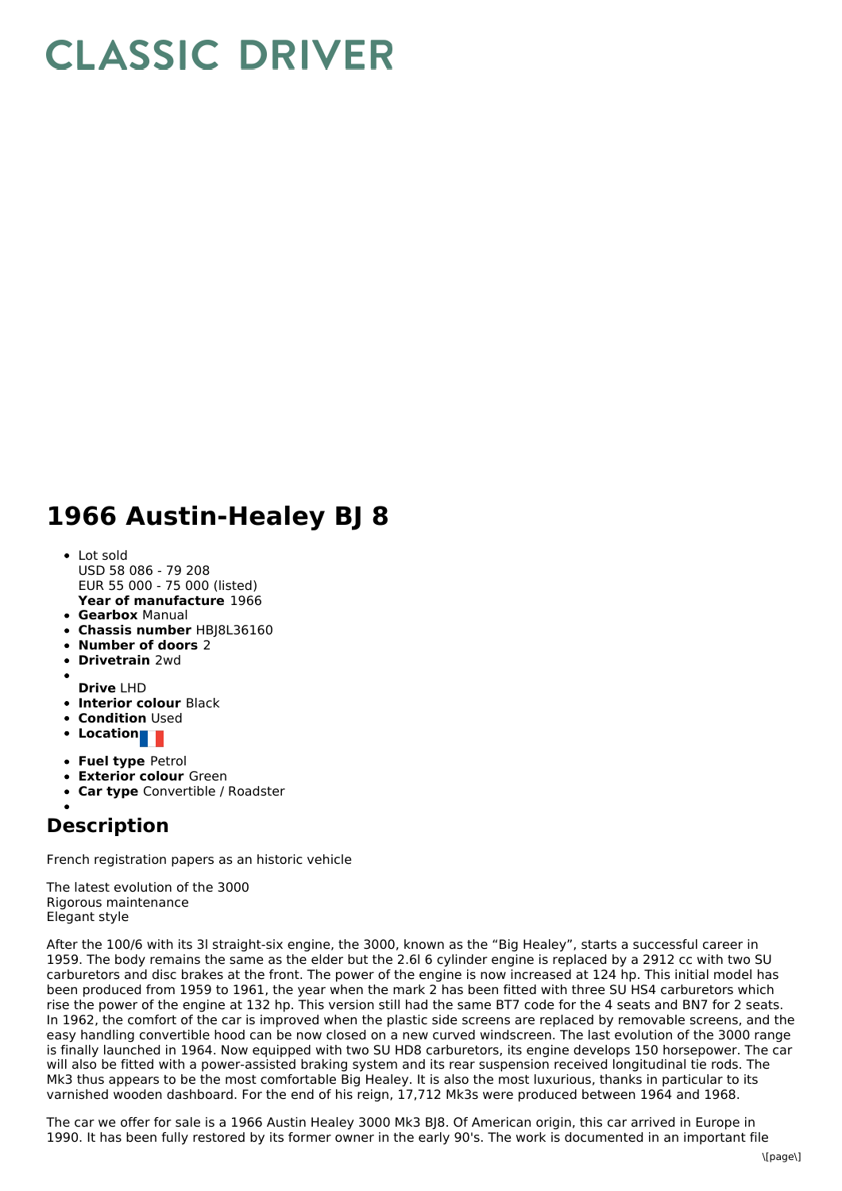## **CLASSIC DRIVER**

## **1966 Austin-Healey BJ 8**

- **Year of manufacture** 1966 • Lot sold USD 58 086 - 79 208 EUR 55 000 - 75 000 (listed)
- **Gearbox** Manual
- **Chassis number** HBJ8L36160
- **Number of doors** 2
- **Drivetrain** 2wd
- **Drive** LHD
- **Interior colour** Black
- **Condition** Used
- **•** Location
- **Fuel type** Petrol
- **Exterior colour** Green
- **Car type** Convertible / Roadster

## **Description**

French registration papers as an historic vehicle

The latest evolution of the 3000 Rigorous maintenance Elegant style

After the 100/6 with its 3l straight-six engine, the 3000, known as the "Big Healey", starts a successful career in 1959. The body remains the same as the elder but the 2.6l 6 cylinder engine is replaced by a 2912 cc with two SU carburetors and disc brakes at the front. The power of the engine is now increased at 124 hp. This initial model has been produced from 1959 to 1961, the year when the mark 2 has been fitted with three SU HS4 carburetors which rise the power of the engine at 132 hp. This version still had the same BT7 code for the 4 seats and BN7 for 2 seats. In 1962, the comfort of the car is improved when the plastic side screens are replaced by removable screens, and the easy handling convertible hood can be now closed on a new curved windscreen. The last evolution of the 3000 range is finally launched in 1964. Now equipped with two SU HD8 carburetors, its engine develops 150 horsepower. The car will also be fitted with a power-assisted braking system and its rear suspension received longitudinal tie rods. The Mk3 thus appears to be the most comfortable Big Healey. It is also the most luxurious, thanks in particular to its varnished wooden dashboard. For the end of his reign, 17,712 Mk3s were produced between 1964 and 1968.

The car we offer for sale is a 1966 Austin Healey 3000 Mk3 BJ8. Of American origin, this car arrived in Europe in 1990. It has been fully restored by its former owner in the early 90's. The work is documented in an important file